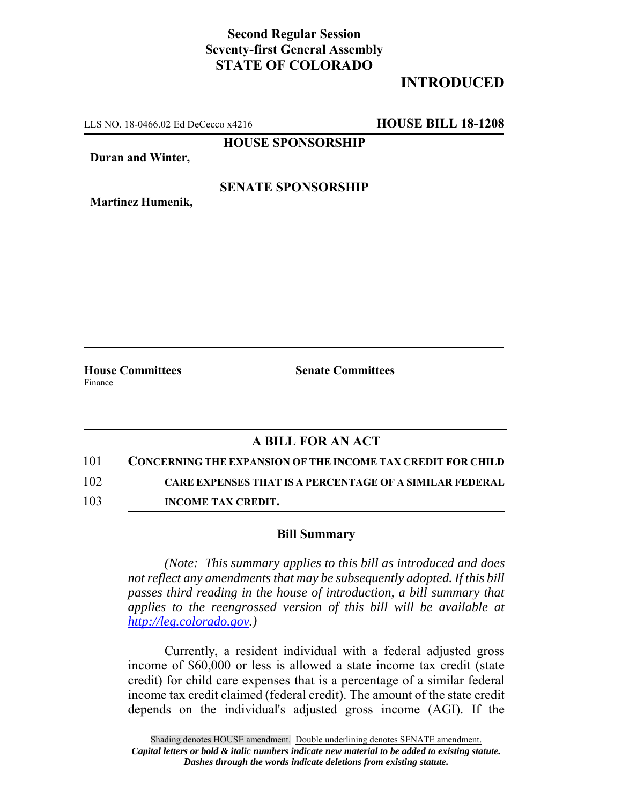# **Second Regular Session Seventy-first General Assembly STATE OF COLORADO**

# **INTRODUCED**

LLS NO. 18-0466.02 Ed DeCecco x4216 **HOUSE BILL 18-1208**

**HOUSE SPONSORSHIP**

**Duran and Winter,**

### **SENATE SPONSORSHIP**

**Martinez Humenik,**

**House Committees Senate Committees** Finance

## **A BILL FOR AN ACT**

101 **CONCERNING THE EXPANSION OF THE INCOME TAX CREDIT FOR CHILD**

102 **CARE EXPENSES THAT IS A PERCENTAGE OF A SIMILAR FEDERAL**

103 **INCOME TAX CREDIT.**

#### **Bill Summary**

*(Note: This summary applies to this bill as introduced and does not reflect any amendments that may be subsequently adopted. If this bill passes third reading in the house of introduction, a bill summary that applies to the reengrossed version of this bill will be available at http://leg.colorado.gov.)*

Currently, a resident individual with a federal adjusted gross income of \$60,000 or less is allowed a state income tax credit (state credit) for child care expenses that is a percentage of a similar federal income tax credit claimed (federal credit). The amount of the state credit depends on the individual's adjusted gross income (AGI). If the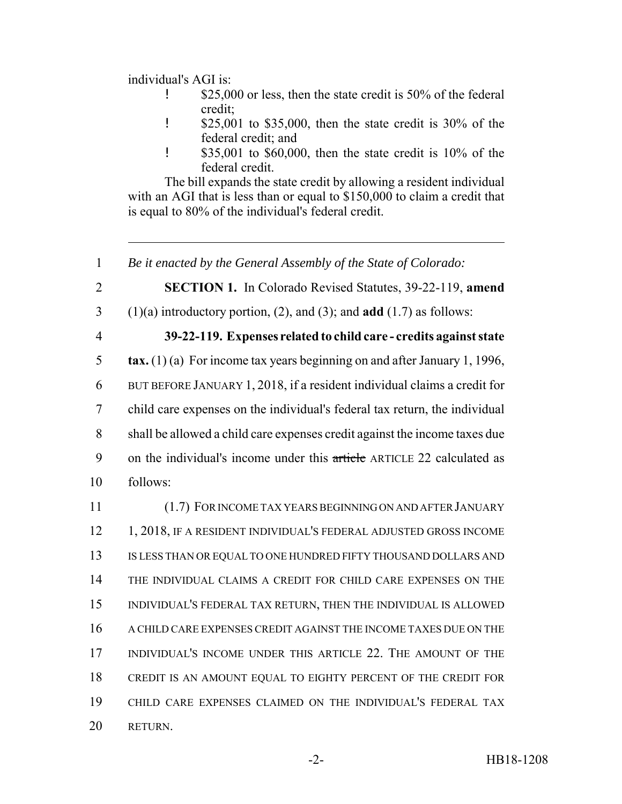individual's AGI is:

- **1** \$25,000 or less, then the state credit is 50% of the federal credit;
- ! \$25,001 to \$35,000, then the state credit is 30% of the federal credit; and
- ! \$35,001 to \$60,000, then the state credit is 10% of the federal credit.

The bill expands the state credit by allowing a resident individual with an AGI that is less than or equal to \$150,000 to claim a credit that is equal to 80% of the individual's federal credit.

2 **SECTION 1.** In Colorado Revised Statutes, 39-22-119, **amend**

- 3 (1)(a) introductory portion, (2), and (3); and **add** (1.7) as follows:
- 

### 4 **39-22-119. Expenses related to child care - credits against state**

 **tax.** (1) (a) For income tax years beginning on and after January 1, 1996, BUT BEFORE JANUARY 1, 2018, if a resident individual claims a credit for child care expenses on the individual's federal tax return, the individual shall be allowed a child care expenses credit against the income taxes due 9 on the individual's income under this article ARTICLE 22 calculated as 10 follows:

 (1.7) FOR INCOME TAX YEARS BEGINNING ON AND AFTER JANUARY 12 1, 2018, IF A RESIDENT INDIVIDUAL'S FEDERAL ADJUSTED GROSS INCOME IS LESS THAN OR EQUAL TO ONE HUNDRED FIFTY THOUSAND DOLLARS AND THE INDIVIDUAL CLAIMS A CREDIT FOR CHILD CARE EXPENSES ON THE INDIVIDUAL'S FEDERAL TAX RETURN, THEN THE INDIVIDUAL IS ALLOWED A CHILD CARE EXPENSES CREDIT AGAINST THE INCOME TAXES DUE ON THE INDIVIDUAL'S INCOME UNDER THIS ARTICLE 22. THE AMOUNT OF THE CREDIT IS AN AMOUNT EQUAL TO EIGHTY PERCENT OF THE CREDIT FOR CHILD CARE EXPENSES CLAIMED ON THE INDIVIDUAL'S FEDERAL TAX 20 RETURN.

<sup>1</sup> *Be it enacted by the General Assembly of the State of Colorado:*